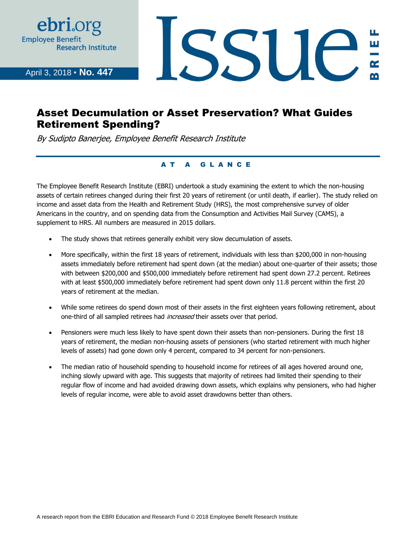

April 3, 2018 • **No. 447**

# SSUE

# Asset Decumulation or Asset Preservation? What Guides Retirement Spending?

By Sudipto Banerjee, Employee Benefit Research Institute

#### AT A GLANCE

The Employee Benefit Research Institute (EBRI) undertook a study examining the extent to which the non-housing assets of certain retirees changed during their first 20 years of retirement (or until death, if earlier). The study relied on income and asset data from the Health and Retirement Study (HRS), the most comprehensive survey of older Americans in the country, and on spending data from the Consumption and Activities Mail Survey (CAMS), a supplement to HRS. All numbers are measured in 2015 dollars.

- The study shows that retirees generally exhibit very slow decumulation of assets.
- More specifically, within the first 18 years of retirement, individuals with less than \$200,000 in non-housing assets immediately before retirement had spent down (at the median) about one-quarter of their assets; those with between \$200,000 and \$500,000 immediately before retirement had spent down 27.2 percent. Retirees with at least \$500,000 immediately before retirement had spent down only 11.8 percent within the first 20 years of retirement at the median.
- While some retirees do spend down most of their assets in the first eighteen years following retirement, about one-third of all sampled retirees had *increased* their assets over that period.
- Pensioners were much less likely to have spent down their assets than non-pensioners. During the first 18 years of retirement, the median non-housing assets of pensioners (who started retirement with much higher levels of assets) had gone down only 4 percent, compared to 34 percent for non-pensioners.
- The median ratio of household spending to household income for retirees of all ages hovered around one, inching slowly upward with age. This suggests that majority of retirees had limited their spending to their regular flow of income and had avoided drawing down assets, which explains why pensioners, who had higher levels of regular income, were able to avoid asset drawdowns better than others.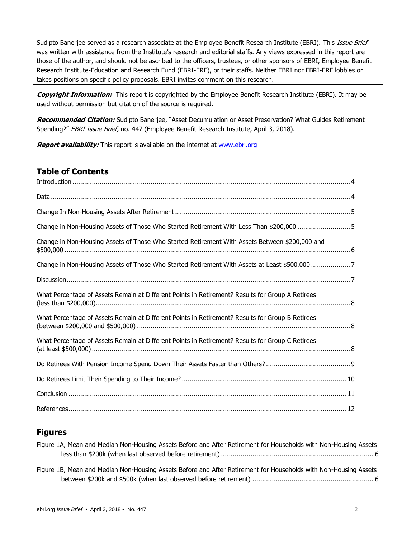Sudipto Banerjee served as a research associate at the Employee Benefit Research Institute (EBRI). This Issue Brief was written with assistance from the Institute's research and editorial staffs. Any views expressed in this report are those of the author, and should not be ascribed to the officers, trustees, or other sponsors of EBRI, Employee Benefit Research Institute-Education and Research Fund (EBRI-ERF), or their staffs. Neither EBRI nor EBRI-ERF lobbies or takes positions on specific policy proposals. EBRI invites comment on this research.

**Copyright Information:** This report is copyrighted by the Employee Benefit Research Institute (EBRI). It may be used without permission but citation of the source is required.

**Recommended Citation:** Sudipto Banerjee, "Asset Decumulation or Asset Preservation? What Guides Retirement Spending?" EBRI Issue Brief, no. 447 (Employee Benefit Research Institute, April 3, 2018).

**Report availability:** This report is available on the internet at [www.ebri.org](http://www.ebri.org/)

# **Table of Contents**

| Change in Non-Housing Assets of Those Who Started Retirement With Less Than \$200,000 5          |
|--------------------------------------------------------------------------------------------------|
| Change in Non-Housing Assets of Those Who Started Retirement With Assets Between \$200,000 and   |
| Change in Non-Housing Assets of Those Who Started Retirement With Assets at Least \$500,000 7    |
|                                                                                                  |
| What Percentage of Assets Remain at Different Points in Retirement? Results for Group A Retirees |
| What Percentage of Assets Remain at Different Points in Retirement? Results for Group B Retirees |
| What Percentage of Assets Remain at Different Points in Retirement? Results for Group C Retirees |
|                                                                                                  |
|                                                                                                  |
|                                                                                                  |
|                                                                                                  |

## **Figures**

| Figure 1A, Mean and Median Non-Housing Assets Before and After Retirement for Households with Non-Housing Assets |  |
|------------------------------------------------------------------------------------------------------------------|--|
|                                                                                                                  |  |
|                                                                                                                  |  |
| Figure 1B, Mean and Median Non-Housing Assets Before and After Retirement for Households with Non-Housing Assets |  |
|                                                                                                                  |  |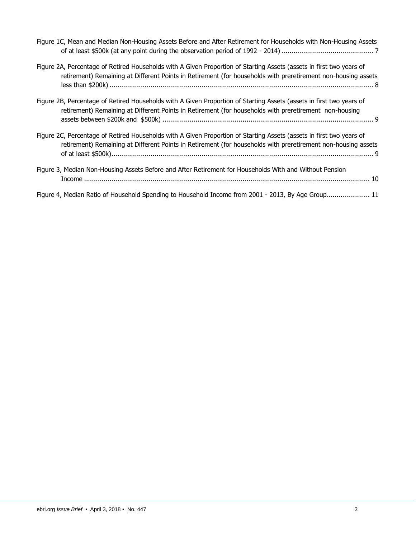| Figure 1C, Mean and Median Non-Housing Assets Before and After Retirement for Households with Non-Housing Assets                                                                                                                      |
|---------------------------------------------------------------------------------------------------------------------------------------------------------------------------------------------------------------------------------------|
| Figure 2A, Percentage of Retired Households with A Given Proportion of Starting Assets (assets in first two years of<br>retirement) Remaining at Different Points in Retirement (for households with preretirement non-housing assets |
| Figure 2B, Percentage of Retired Households with A Given Proportion of Starting Assets (assets in first two years of<br>retirement) Remaining at Different Points in Retirement (for households with preretirement non-housing        |

| Figure 2C, Percentage of Retired Households with A Given Proportion of Starting Assets (assets in first two years of |  |
|----------------------------------------------------------------------------------------------------------------------|--|
| retirement) Remaining at Different Points in Retirement (for households with preretirement non-housing assets        |  |
|                                                                                                                      |  |

| Figure 3, Median Non-Housing Assets Before and After Retirement for Households With and Without Pension |  |
|---------------------------------------------------------------------------------------------------------|--|
|                                                                                                         |  |

Figure 4, Median Ratio of Household Spending to Household Income from 2001 - 2013, By Age Group...................... 11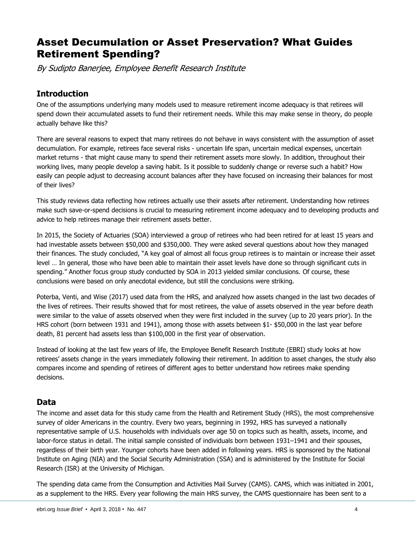# Asset Decumulation or Asset Preservation? What Guides Retirement Spending?

By Sudipto Banerjee, Employee Benefit Research Institute

# <span id="page-3-0"></span>**Introduction**

One of the assumptions underlying many models used to measure retirement income adequacy is that retirees will spend down their accumulated assets to fund their retirement needs. While this may make sense in theory, do people actually behave like this?

There are several reasons to expect that many retirees do not behave in ways consistent with the assumption of asset decumulation. For example, retirees face several risks - uncertain life span, uncertain medical expenses, uncertain market returns - that might cause many to spend their retirement assets more slowly. In addition, throughout their working lives, many people develop a saving habit. Is it possible to suddenly change or reverse such a habit? How easily can people adjust to decreasing account balances after they have focused on increasing their balances for most of their lives?

This study reviews data reflecting how retirees actually use their assets after retirement. Understanding how retirees make such save-or-spend decisions is crucial to measuring retirement income adequacy and to developing products and advice to help retirees manage their retirement assets better.

In 2015, the Society of Actuaries (SOA) interviewed a group of retirees who had been retired for at least 15 years and had investable assets between \$50,000 and \$350,000. They were asked several questions about how they managed their finances. The study concluded, "A key goal of almost all focus group retirees is to maintain or increase their asset level … In general, those who have been able to maintain their asset levels have done so through significant cuts in spending." Another focus group study conducted by SOA in 2013 yielded similar conclusions. Of course, these conclusions were based on only anecdotal evidence, but still the conclusions were striking.

Poterba, Venti, and Wise (2017) used data from the HRS, and analyzed how assets changed in the last two decades of the lives of retirees. Their results showed that for most retirees, the value of assets observed in the year before death were similar to the value of assets observed when they were first included in the survey (up to 20 years prior). In the HRS cohort (born between 1931 and 1941), among those with assets between \$1- \$50,000 in the last year before death, 81 percent had assets less than \$100,000 in the first year of observation.

Instead of looking at the last few years of life, the Employee Benefit Research Institute (EBRI) study looks at how retirees' assets change in the years immediately following their retirement. In addition to asset changes, the study also compares income and spending of retirees of different ages to better understand how retirees make spending decisions.

# <span id="page-3-1"></span>**Data**

The income and asset data for this study came from the Health and Retirement Study (HRS), the most comprehensive survey of older Americans in the country. Every two years, beginning in 1992, HRS has surveyed a nationally representative sample of U.S. households with individuals over age 50 on topics such as health, assets, income, and labor-force status in detail. The initial sample consisted of individuals born between 1931–1941 and their spouses, regardless of their birth year. Younger cohorts have been added in following years. HRS is sponsored by the National Institute on Aging (NIA) and the Social Security Administration (SSA) and is administered by the Institute for Social Research (ISR) at the University of Michigan.

The spending data came from the Consumption and Activities Mail Survey (CAMS). CAMS, which was initiated in 2001, as a supplement to the HRS. Every year following the main HRS survey, the CAMS questionnaire has been sent to a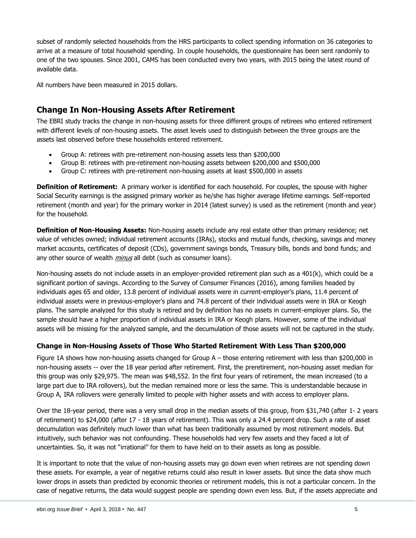subset of randomly selected households from the HRS participants to collect spending information on 36 categories to arrive at a measure of total household spending. In couple households, the questionnaire has been sent randomly to one of the two spouses. Since 2001, CAMS has been conducted every two years, with 2015 being the latest round of available data.

All numbers have been measured in 2015 dollars.

### <span id="page-4-0"></span>**Change In Non-Housing Assets After Retirement**

The EBRI study tracks the change in non-housing assets for three different groups of retirees who entered retirement with different levels of non-housing assets. The asset levels used to distinguish between the three groups are the assets last observed before these households entered retirement.

- Group A: retirees with pre-retirement non-housing assets less than \$200,000
- Group B: retirees with pre-retirement non-housing assets between \$200,000 and \$500,000
- Group C: retirees with pre-retirement non-housing assets at least \$500,000 in assets

**Definition of Retirement:** A primary worker is identified for each household. For couples, the spouse with higher Social Security earnings is the assigned primary worker as he/she has higher average lifetime earnings. Self-reported retirement (month and year) for the primary worker in 2014 (latest survey) is used as the retirement (month and year) for the household.

**Definition of Non-Housing Assets:** Non-housing assets include any real estate other than primary residence; net value of vehicles owned; individual retirement accounts (IRAs), stocks and mutual funds, checking, savings and money market accounts, certificates of deposit (CDs), government savings bonds, Treasury bills, bonds and bond funds; and any other source of wealth *minus* all debt (such as consumer loans).

Non-housing assets do not include assets in an employer-provided retirement plan such as a 401(k), which could be a significant portion of savings. According to the Survey of Consumer Finances (2016), among families headed by individuals ages 65 and older, 13.8 percent of individual assets were in current-employer's plans, 11.4 percent of individual assets were in previous-employer's plans and 74.8 percent of their individual assets were in IRA or Keogh plans. The sample analyzed for this study is retired and by definition has no assets in current-employer plans. So, the sample should have a higher proportion of individual assets in IRA or Keogh plans. However, some of the individual assets will be missing for the analyzed sample, and the decumulation of those assets will not be captured in the study.

#### <span id="page-4-1"></span>**Change in Non-Housing Assets of Those Who Started Retirement With Less Than \$200,000**

Figure 1A shows how non-housing assets changed for Group A – those entering retirement with less than \$200,000 in non-housing assets -- over the 18 year period after retirement. First, the preretirement, non-housing asset median for this group was only \$29,975. The mean was \$48,552. In the first four years of retirement, the mean increased (to a large part due to IRA rollovers), but the median remained more or less the same. This is understandable because in Group A, IRA rollovers were generally limited to people with higher assets and with access to employer plans.

Over the 18-year period, there was a very small drop in the median assets of this group, from \$31,740 (after 1- 2 years of retirement) to \$24,000 (after 17 - 18 years of retirement). This was only a 24.4 percent drop. Such a rate of asset decumulation was definitely much lower than what has been traditionally assumed by most retirement models. But intuitively, such behavior was not confounding. These households had very few assets and they faced a lot of uncertainties. So, it was not "irrational" for them to have held on to their assets as long as possible.

It is important to note that the value of non-housing assets may go down even when retirees are not spending down these assets. For example, a year of negative returns could also result in lower assets. But since the data show much lower drops in assets than predicted by economic theories or retirement models, this is not a particular concern. In the case of negative returns, the data would suggest people are spending down even less. But, if the assets appreciate and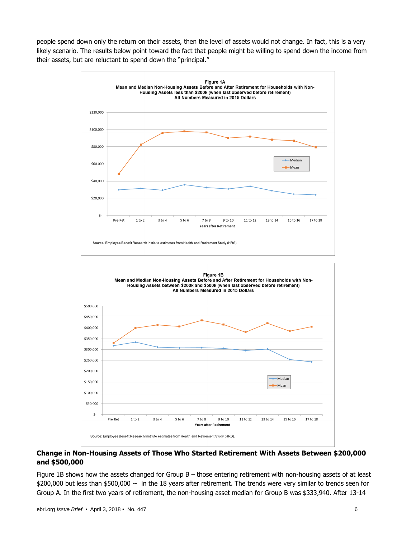people spend down only the return on their assets, then the level of assets would not change. In fact, this is a very likely scenario. The results below point toward the fact that people might be willing to spend down the income from their assets, but are reluctant to spend down the "principal."



#### <span id="page-5-0"></span>**Change in Non-Housing Assets of Those Who Started Retirement With Assets Between \$200,000 and \$500,000**

Figure 1B shows how the assets changed for Group B – those entering retirement with non-housing assets of at least \$200,000 but less than \$500,000 -- in the 18 years after retirement. The trends were very similar to trends seen for Group A. In the first two years of retirement, the non-housing asset median for Group B was \$333,940. After 13-14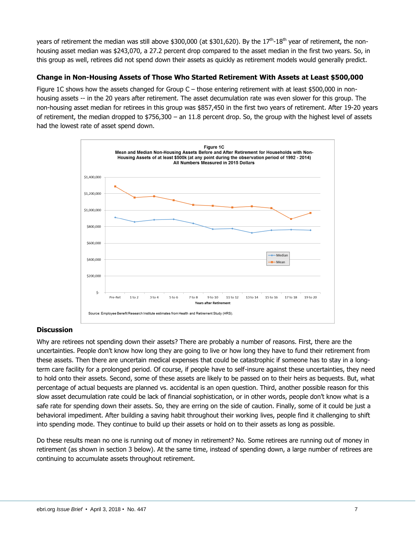years of retirement the median was still above \$300,000 (at \$301,620). By the 17<sup>th</sup>-18<sup>th</sup> year of retirement, the nonhousing asset median was \$243,070, a 27.2 percent drop compared to the asset median in the first two years. So, in this group as well, retirees did not spend down their assets as quickly as retirement models would generally predict.

#### <span id="page-6-0"></span>**Change in Non-Housing Assets of Those Who Started Retirement With Assets at Least \$500,000**

Figure 1C shows how the assets changed for Group C – those entering retirement with at least \$500,000 in nonhousing assets -- in the 20 years after retirement. The asset decumulation rate was even slower for this group. The non-housing asset median for retirees in this group was \$857,450 in the first two years of retirement. After 19-20 years of retirement, the median dropped to \$756,300 – an 11.8 percent drop. So, the group with the highest level of assets had the lowest rate of asset spend down.



#### <span id="page-6-1"></span>**Discussion**

Why are retirees not spending down their assets? There are probably a number of reasons. First, there are the uncertainties. People don't know how long they are going to live or how long they have to fund their retirement from these assets. Then there are uncertain medical expenses that could be catastrophic if someone has to stay in a longterm care facility for a prolonged period. Of course, if people have to self-insure against these uncertainties, they need to hold onto their assets. Second, some of these assets are likely to be passed on to their heirs as bequests. But, what percentage of actual bequests are planned vs. accidental is an open question. Third, another possible reason for this slow asset decumulation rate could be lack of financial sophistication, or in other words, people don't know what is a safe rate for spending down their assets. So, they are erring on the side of caution. Finally, some of it could be just a behavioral impediment. After building a saving habit throughout their working lives, people find it challenging to shift into spending mode. They continue to build up their assets or hold on to their assets as long as possible.

Do these results mean no one is running out of money in retirement? No. Some retirees are running out of money in retirement (as shown in section 3 below). At the same time, instead of spending down, a large number of retirees are continuing to accumulate assets throughout retirement.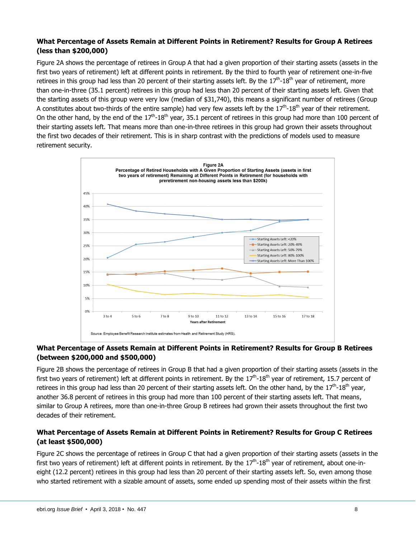#### <span id="page-7-0"></span>**What Percentage of Assets Remain at Different Points in Retirement? Results for Group A Retirees (less than \$200,000)**

Figure 2A shows the percentage of retirees in Group A that had a given proportion of their starting assets (assets in the first two years of retirement) left at different points in retirement. By the third to fourth year of retirement one-in-five retirees in this group had less than 20 percent of their starting assets left. By the 17<sup>th</sup>-18<sup>th</sup> year of retirement, more than one-in-three (35.1 percent) retirees in this group had less than 20 percent of their starting assets left. Given that the starting assets of this group were very low (median of \$31,740), this means a significant number of retirees (Group A constitutes about two-thirds of the entire sample) had very few assets left by the  $17^{\text{th}}$ -18<sup>th</sup> year of their retirement. On the other hand, by the end of the  $17^{th}$ -18<sup>th</sup> year, 35.1 percent of retirees in this group had more than 100 percent of their starting assets left. That means more than one-in-three retirees in this group had grown their assets throughout the first two decades of their retirement. This is in sharp contrast with the predictions of models used to measure retirement security.



#### <span id="page-7-1"></span>**What Percentage of Assets Remain at Different Points in Retirement? Results for Group B Retirees (between \$200,000 and \$500,000)**

Figure 2B shows the percentage of retirees in Group B that had a given proportion of their starting assets (assets in the first two years of retirement) left at different points in retirement. By the  $17^{\text{th}}$ -18<sup>th</sup> year of retirement, 15.7 percent of retirees in this group had less than 20 percent of their starting assets left. On the other hand, by the 17<sup>th</sup>-18<sup>th</sup> year, another 36.8 percent of retirees in this group had more than 100 percent of their starting assets left. That means, similar to Group A retirees, more than one-in-three Group B retirees had grown their assets throughout the first two decades of their retirement.

#### <span id="page-7-2"></span>**What Percentage of Assets Remain at Different Points in Retirement? Results for Group C Retirees (at least \$500,000)**

Figure 2C shows the percentage of retirees in Group C that had a given proportion of their starting assets (assets in the first two years of retirement) left at different points in retirement. By the  $17^{\text{th}}$ -18<sup>th</sup> year of retirement, about one-ineight (12.2 percent) retirees in this group had less than 20 percent of their starting assets left. So, even among those who started retirement with a sizable amount of assets, some ended up spending most of their assets within the first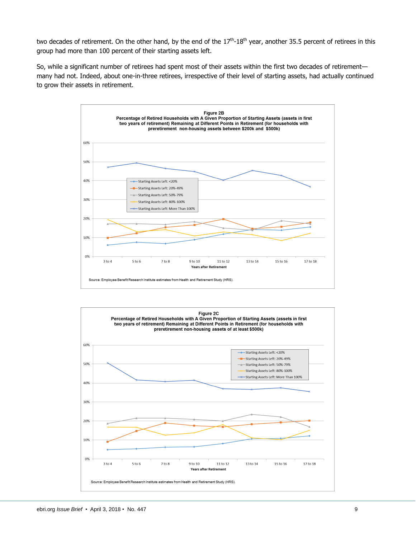two decades of retirement. On the other hand, by the end of the  $17<sup>th</sup>$ -18<sup>th</sup> year, another 35.5 percent of retirees in this group had more than 100 percent of their starting assets left.

So, while a significant number of retirees had spent most of their assets within the first two decades of retirement many had not. Indeed, about one-in-three retirees, irrespective of their level of starting assets, had actually continued to grow their assets in retirement.



<span id="page-8-0"></span>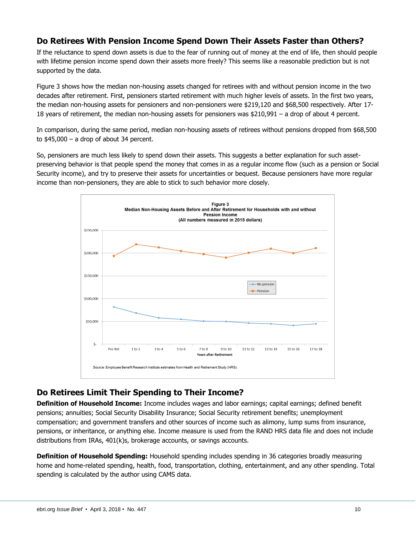# **Do Retirees With Pension Income Spend Down Their Assets Faster than Others?**

If the reluctance to spend down assets is due to the fear of running out of money at the end of life, then should people with lifetime pension income spend down their assets more freely? This seems like a reasonable prediction but is not supported by the data.

Figure 3 shows how the median non-housing assets changed for retirees with and without pension income in the two decades after retirement. First, pensioners started retirement with much higher levels of assets. In the first two years, the median non-housing assets for pensioners and non-pensioners were \$219,120 and \$68,500 respectively. After 17- 18 years of retirement, the median non-housing assets for pensioners was \$210,991 – a drop of about 4 percent.

In comparison, during the same period, median non-housing assets of retirees without pensions dropped from \$68,500 to  $$45,000 - a$  drop of about 34 percent.

So, pensioners are much less likely to spend down their assets. This suggests a better explanation for such assetpreserving behavior is that people spend the money that comes in as a regular income flow (such as a pension or Social Security income), and try to preserve their assets for uncertainties or bequest. Because pensioners have more regular income than non-pensioners, they are able to stick to such behavior more closely.



# <span id="page-9-0"></span>**Do Retirees Limit Their Spending to Their Income?**

**Definition of Household Income:** Income includes wages and labor earnings; capital earnings; defined benefit pensions; annuities; Social Security Disability Insurance; Social Security retirement benefits; unemployment compensation; and government transfers and other sources of income such as alimony, lump sums from insurance, pensions, or inheritance, or anything else. Income measure is used from the RAND HRS data file and does not include distributions from IRAs, 401(k)s, brokerage accounts, or savings accounts.

**Definition of Household Spending:** Household spending includes spending in 36 categories broadly measuring home and home-related spending, health, food, transportation, clothing, entertainment, and any other spending. Total spending is calculated by the author using CAMS data.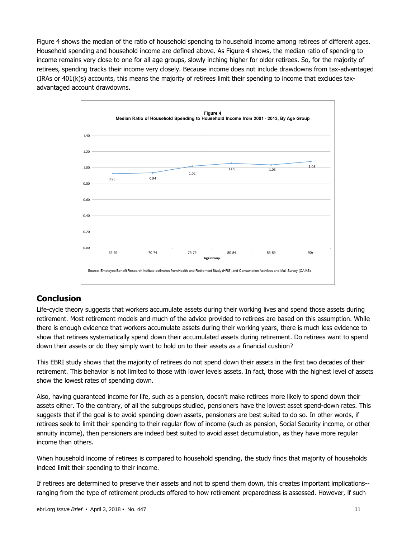Figure 4 shows the median of the ratio of household spending to household income among retirees of different ages. Household spending and household income are defined above. As Figure 4 shows, the median ratio of spending to income remains very close to one for all age groups, slowly inching higher for older retirees. So, for the majority of retirees, spending tracks their income very closely. Because income does not include drawdowns from tax-advantaged (IRAs or 401(k)s) accounts, this means the majority of retirees limit their spending to income that excludes taxadvantaged account drawdowns.



## <span id="page-10-0"></span>**Conclusion**

Life-cycle theory suggests that workers accumulate assets during their working lives and spend those assets during retirement. Most retirement models and much of the advice provided to retirees are based on this assumption. While there is enough evidence that workers accumulate assets during their working years, there is much less evidence to show that retirees systematically spend down their accumulated assets during retirement. Do retirees want to spend down their assets or do they simply want to hold on to their assets as a financial cushion?

This EBRI study shows that the majority of retirees do not spend down their assets in the first two decades of their retirement. This behavior is not limited to those with lower levels assets. In fact, those with the highest level of assets show the lowest rates of spending down.

Also, having guaranteed income for life, such as a pension, doesn't make retirees more likely to spend down their assets either. To the contrary, of all the subgroups studied, pensioners have the lowest asset spend-down rates. This suggests that if the goal is to avoid spending down assets, pensioners are best suited to do so. In other words, if retirees seek to limit their spending to their regular flow of income (such as pension, Social Security income, or other annuity income), then pensioners are indeed best suited to avoid asset decumulation, as they have more regular income than others.

When household income of retirees is compared to household spending, the study finds that majority of households indeed limit their spending to their income.

If retirees are determined to preserve their assets and not to spend them down, this creates important implications- ranging from the type of retirement products offered to how retirement preparedness is assessed. However, if such